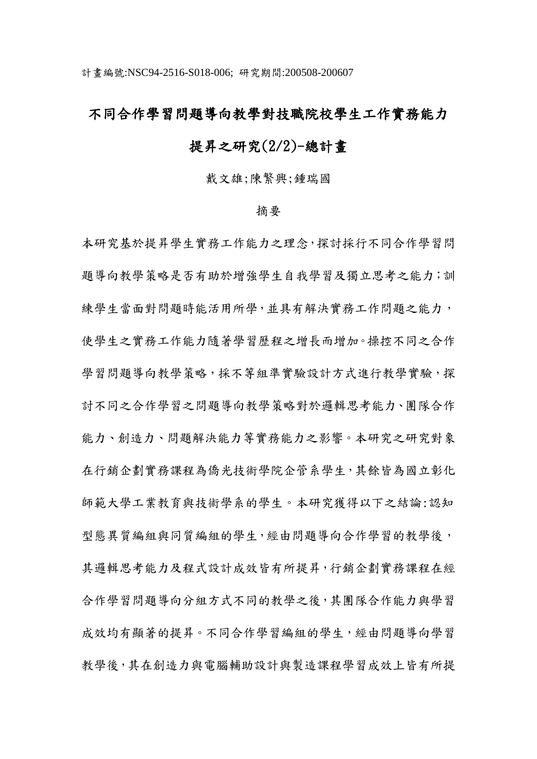## 不同合作學習問題導向教學對技職院校學生工作實務能力

## 提昇之研究(2/2)-總計畫

戴文雄;陳繁興;鍾瑞國

## 摘要

本研究基於提昇學生實務工作能力之理念,探討採行不同合作學習問 題導向教學策略是否有助於增強學生自我學習及獨立思考之能力;訓 練學生當面對問題時能活用所學,並具有解決實務工作問題之能力, 使學生之實務工作能力隨著學習歷程之增長而增加。操控不同之合作 學習問題導向教學策略,採不等組準實驗設計方式進行教學實驗,探 討不同之合作學習之問題導向教學策略對於邏輯思考能力、團隊合作 能力、創造力、問題解決能力等實務能力之影響。本研究之研究對象 在行銷企劃實務課程為僑光技術學院企管系學生,其餘皆為國立彰化 師範大學工業教育與技術學系的學生。本研究獲得以下之結論:認知 型態異質編組與同質編組的學生,經由問題導向合作學習的教學後, 其邏輯思考能力及程式設計成效皆有所提昇,行銷企劃實務課程在經 合作學習問題導向分組方式不同的教學之後,其團隊合作能力與學習 成效均有顯著的提昇。不同合作學習編組的學生,經由問題導向學習 教學後,其在創造力與電腦輔助設計與製造課程學習成效上皆有所提